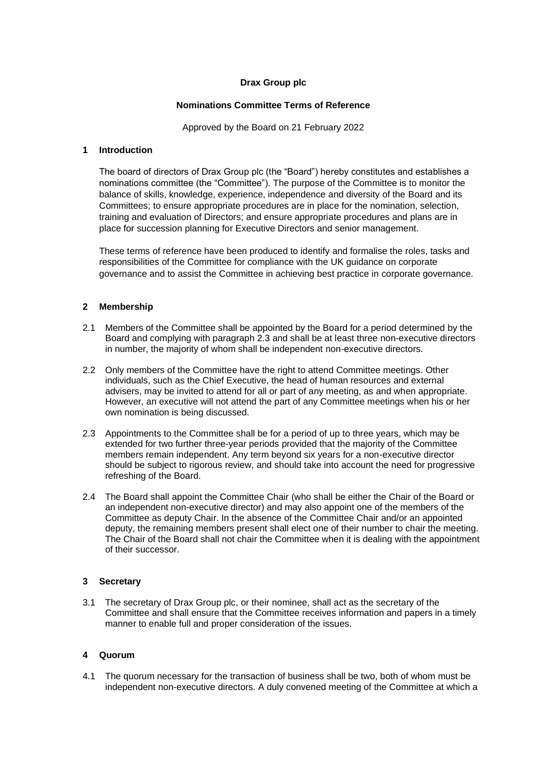# **Drax Group plc**

### **Nominations Committee Terms of Reference**

Approved by the Board on 21 February 2022

### **1 Introduction**

The board of directors of Drax Group plc (the "Board") hereby constitutes and establishes a nominations committee (the "Committee"). The purpose of the Committee is to monitor the balance of skills, knowledge, experience, independence and diversity of the Board and its Committees; to ensure appropriate procedures are in place for the nomination, selection, training and evaluation of Directors; and ensure appropriate procedures and plans are in place for succession planning for Executive Directors and senior management.

These terms of reference have been produced to identify and formalise the roles, tasks and responsibilities of the Committee for compliance with the UK guidance on corporate governance and to assist the Committee in achieving best practice in corporate governance.

# **2 Membership**

- 2.1 Members of the Committee shall be appointed by the Board for a period determined by the Board and complying with paragraph 2.3 and shall be at least three non-executive directors in number, the majority of whom shall be independent non-executive directors.
- 2.2 Only members of the Committee have the right to attend Committee meetings. Other individuals, such as the Chief Executive, the head of human resources and external advisers, may be invited to attend for all or part of any meeting, as and when appropriate. However, an executive will not attend the part of any Committee meetings when his or her own nomination is being discussed.
- 2.3 Appointments to the Committee shall be for a period of up to three years, which may be extended for two further three-year periods provided that the majority of the Committee members remain independent. Any term beyond six years for a non-executive director should be subject to rigorous review, and should take into account the need for progressive refreshing of the Board.
- 2.4 The Board shall appoint the Committee Chair (who shall be either the Chair of the Board or an independent non-executive director) and may also appoint one of the members of the Committee as deputy Chair. In the absence of the Committee Chair and/or an appointed deputy, the remaining members present shall elect one of their number to chair the meeting. The Chair of the Board shall not chair the Committee when it is dealing with the appointment of their successor.

# **3 Secretary**

3.1 The secretary of Drax Group plc, or their nominee, shall act as the secretary of the Committee and shall ensure that the Committee receives information and papers in a timely manner to enable full and proper consideration of the issues.

# **4 Quorum**

4.1 The quorum necessary for the transaction of business shall be two, both of whom must be independent non-executive directors. A duly convened meeting of the Committee at which a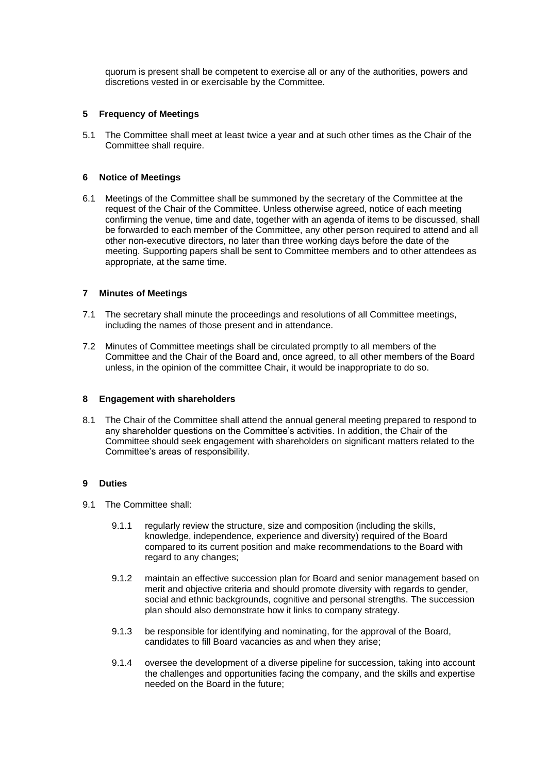quorum is present shall be competent to exercise all or any of the authorities, powers and discretions vested in or exercisable by the Committee.

### **5 Frequency of Meetings**

5.1 The Committee shall meet at least twice a year and at such other times as the Chair of the Committee shall require.

#### **6 Notice of Meetings**

6.1 Meetings of the Committee shall be summoned by the secretary of the Committee at the request of the Chair of the Committee. Unless otherwise agreed, notice of each meeting confirming the venue, time and date, together with an agenda of items to be discussed, shall be forwarded to each member of the Committee, any other person required to attend and all other non-executive directors, no later than three working days before the date of the meeting. Supporting papers shall be sent to Committee members and to other attendees as appropriate, at the same time.

# **7 Minutes of Meetings**

- 7.1 The secretary shall minute the proceedings and resolutions of all Committee meetings, including the names of those present and in attendance.
- 7.2 Minutes of Committee meetings shall be circulated promptly to all members of the Committee and the Chair of the Board and, once agreed, to all other members of the Board unless, in the opinion of the committee Chair, it would be inappropriate to do so.

#### **8 Engagement with shareholders**

8.1 The Chair of the Committee shall attend the annual general meeting prepared to respond to any shareholder questions on the Committee's activities. In addition, the Chair of the Committee should seek engagement with shareholders on significant matters related to the Committee's areas of responsibility.

#### **9 Duties**

- 9.1 The Committee shall:
	- 9.1.1 regularly review the structure, size and composition (including the skills, knowledge, independence, experience and diversity) required of the Board compared to its current position and make recommendations to the Board with regard to any changes;
	- 9.1.2 maintain an effective succession plan for Board and senior management based on merit and objective criteria and should promote diversity with regards to gender, social and ethnic backgrounds, cognitive and personal strengths. The succession plan should also demonstrate how it links to company strategy.
	- 9.1.3 be responsible for identifying and nominating, for the approval of the Board, candidates to fill Board vacancies as and when they arise;
	- 9.1.4 oversee the development of a diverse pipeline for succession, taking into account the challenges and opportunities facing the company, and the skills and expertise needed on the Board in the future;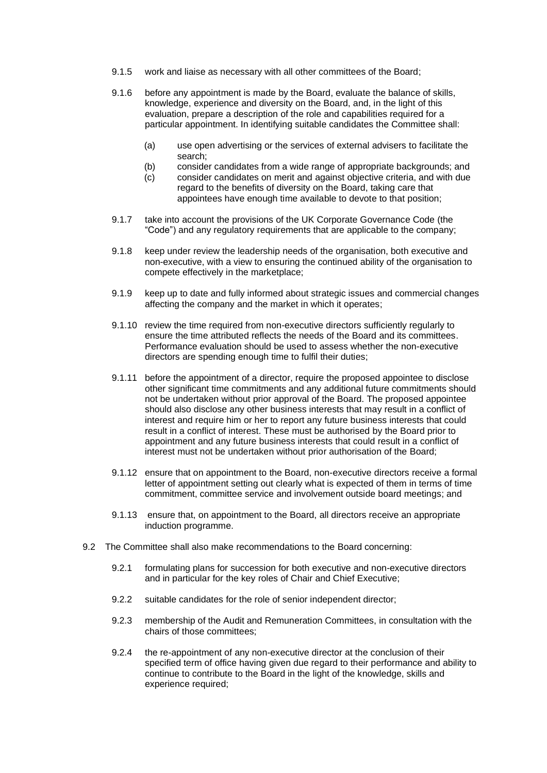- 9.1.5 work and liaise as necessary with all other committees of the Board;
- 9.1.6 before any appointment is made by the Board, evaluate the balance of skills, knowledge, experience and diversity on the Board, and, in the light of this evaluation, prepare a description of the role and capabilities required for a particular appointment. In identifying suitable candidates the Committee shall:
	- (a) use open advertising or the services of external advisers to facilitate the search;
	- (b) consider candidates from a wide range of appropriate backgrounds; and
	- (c) consider candidates on merit and against objective criteria, and with due regard to the benefits of diversity on the Board, taking care that appointees have enough time available to devote to that position;
- 9.1.7 take into account the provisions of the UK Corporate Governance Code (the "Code") and any regulatory requirements that are applicable to the company;
- 9.1.8 keep under review the leadership needs of the organisation, both executive and non-executive, with a view to ensuring the continued ability of the organisation to compete effectively in the marketplace;
- 9.1.9 keep up to date and fully informed about strategic issues and commercial changes affecting the company and the market in which it operates;
- 9.1.10 review the time required from non-executive directors sufficiently regularly to ensure the time attributed reflects the needs of the Board and its committees. Performance evaluation should be used to assess whether the non-executive directors are spending enough time to fulfil their duties;
- 9.1.11 before the appointment of a director, require the proposed appointee to disclose other significant time commitments and any additional future commitments should not be undertaken without prior approval of the Board. The proposed appointee should also disclose any other business interests that may result in a conflict of interest and require him or her to report any future business interests that could result in a conflict of interest. These must be authorised by the Board prior to appointment and any future business interests that could result in a conflict of interest must not be undertaken without prior authorisation of the Board;
- 9.1.12 ensure that on appointment to the Board, non-executive directors receive a formal letter of appointment setting out clearly what is expected of them in terms of time commitment, committee service and involvement outside board meetings; and
- 9.1.13 ensure that, on appointment to the Board, all directors receive an appropriate induction programme.
- 9.2 The Committee shall also make recommendations to the Board concerning:
	- 9.2.1 formulating plans for succession for both executive and non-executive directors and in particular for the key roles of Chair and Chief Executive;
	- 9.2.2 suitable candidates for the role of senior independent director;
	- 9.2.3 membership of the Audit and Remuneration Committees, in consultation with the chairs of those committees;
	- 9.2.4 the re-appointment of any non-executive director at the conclusion of their specified term of office having given due regard to their performance and ability to continue to contribute to the Board in the light of the knowledge, skills and experience required;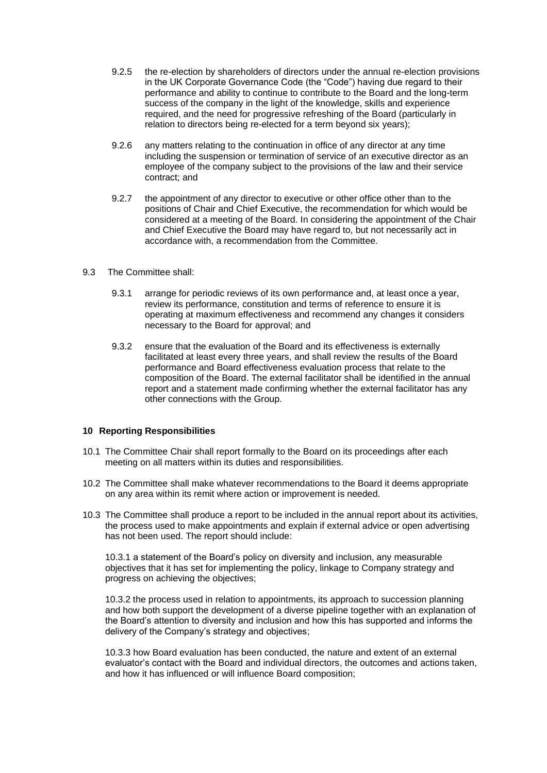- 9.2.5 the re-election by shareholders of directors under the annual re-election provisions in the UK Corporate Governance Code (the "Code") having due regard to their performance and ability to continue to contribute to the Board and the long-term success of the company in the light of the knowledge, skills and experience required, and the need for progressive refreshing of the Board (particularly in relation to directors being re-elected for a term beyond six years);
- 9.2.6 any matters relating to the continuation in office of any director at any time including the suspension or termination of service of an executive director as an employee of the company subject to the provisions of the law and their service contract; and
- 9.2.7 the appointment of any director to executive or other office other than to the positions of Chair and Chief Executive, the recommendation for which would be considered at a meeting of the Board. In considering the appointment of the Chair and Chief Executive the Board may have regard to, but not necessarily act in accordance with, a recommendation from the Committee.
- 9.3 The Committee shall:
	- 9.3.1 arrange for periodic reviews of its own performance and, at least once a year, review its performance, constitution and terms of reference to ensure it is operating at maximum effectiveness and recommend any changes it considers necessary to the Board for approval; and
	- 9.3.2 ensure that the evaluation of the Board and its effectiveness is externally facilitated at least every three years, and shall review the results of the Board performance and Board effectiveness evaluation process that relate to the composition of the Board. The external facilitator shall be identified in the annual report and a statement made confirming whether the external facilitator has any other connections with the Group.

#### **10 Reporting Responsibilities**

- 10.1 The Committee Chair shall report formally to the Board on its proceedings after each meeting on all matters within its duties and responsibilities.
- 10.2 The Committee shall make whatever recommendations to the Board it deems appropriate on any area within its remit where action or improvement is needed.
- 10.3 The Committee shall produce a report to be included in the annual report about its activities, the process used to make appointments and explain if external advice or open advertising has not been used. The report should include:

10.3.1 a statement of the Board's policy on diversity and inclusion, any measurable objectives that it has set for implementing the policy, linkage to Company strategy and progress on achieving the objectives;

10.3.2 the process used in relation to appointments, its approach to succession planning and how both support the development of a diverse pipeline together with an explanation of the Board's attention to diversity and inclusion and how this has supported and informs the delivery of the Company's strategy and objectives;

10.3.3 how Board evaluation has been conducted, the nature and extent of an external evaluator's contact with the Board and individual directors, the outcomes and actions taken, and how it has influenced or will influence Board composition;